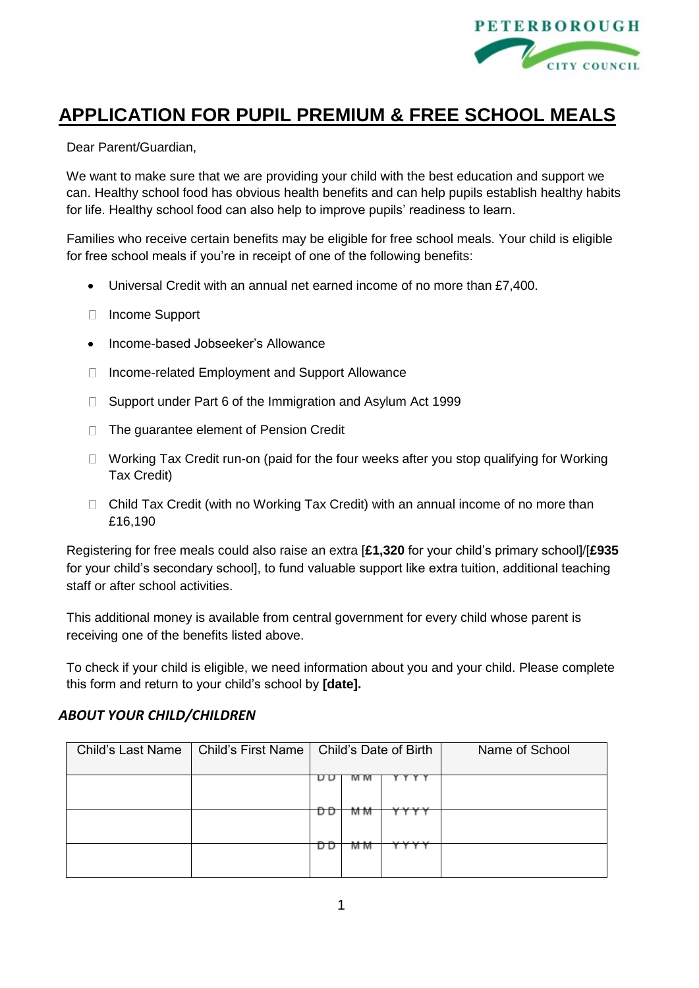

# **APPLICATION FOR PUPIL PREMIUM & FREE SCHOOL MEALS**

Dear Parent/Guardian,

We want to make sure that we are providing your child with the best education and support we can. Healthy school food has obvious health benefits and can help pupils establish healthy habits for life. Healthy school food can also help to improve pupils' readiness to learn.

Families who receive certain benefits may be eligible for free school meals. Your child is eligible for free school meals if you're in receipt of one of the following benefits:

- Universal Credit with an annual net earned income of no more than £7,400.
- □ Income Support
- Income-based Jobseeker's Allowance
- □ Income-related Employment and Support Allowance
- □ Support under Part 6 of the Immigration and Asylum Act 1999
- □ The guarantee element of Pension Credit
- $\Box$  Working Tax Credit run-on (paid for the four weeks after you stop qualifying for Working Tax Credit)
- $\Box$  Child Tax Credit (with no Working Tax Credit) with an annual income of no more than £16,190

Registering for free meals could also raise an extra [**£1,320** for your child's primary school]/[**£935**  for your child's secondary school], to fund valuable support like extra tuition, additional teaching staff or after school activities.

This additional money is available from central government for every child whose parent is receiving one of the benefits listed above.

To check if your child is eligible, we need information about you and your child. Please complete this form and return to your child's school by **[date].**

#### *ABOUT YOUR CHILD/CHILDREN*

| <b>Child's Last Name</b> | Child's First Name | Child's Date of Birth<br>Name of School |  |
|--------------------------|--------------------|-----------------------------------------|--|
|                          |                    |                                         |  |
|                          |                    | $\cdots$                                |  |
|                          |                    | <b>M</b> M                              |  |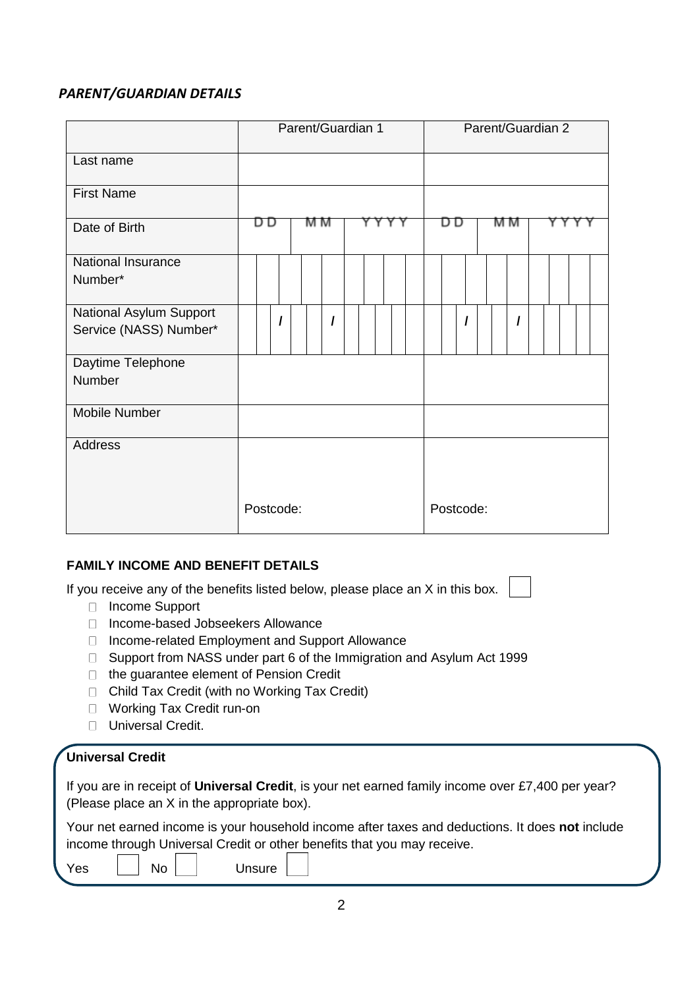# *PARENT/GUARDIAN DETAILS*

|                         | Parent/Guardian 1 |     |  | Parent/Guardian 2 |     |  |  |  |
|-------------------------|-------------------|-----|--|-------------------|-----|--|--|--|
| Last name               |                   |     |  |                   |     |  |  |  |
| <b>First Name</b>       |                   |     |  |                   |     |  |  |  |
| Date of Birth           | D D               | M M |  | D D               | M M |  |  |  |
| National Insurance      |                   |     |  |                   |     |  |  |  |
| Number*                 |                   |     |  |                   |     |  |  |  |
| National Asylum Support |                   |     |  |                   | I   |  |  |  |
| Service (NASS) Number*  |                   |     |  |                   |     |  |  |  |
| Daytime Telephone       |                   |     |  |                   |     |  |  |  |
| Number                  |                   |     |  |                   |     |  |  |  |
| <b>Mobile Number</b>    |                   |     |  |                   |     |  |  |  |
| Address                 |                   |     |  |                   |     |  |  |  |
|                         |                   |     |  |                   |     |  |  |  |
|                         | Postcode:         |     |  | Postcode:         |     |  |  |  |

### **FAMILY INCOME AND BENEFIT DETAILS**

If you receive any of the benefits listed below, please place an X in this box.

- □ Income Support
- □ Income-based Jobseekers Allowance
- □ Income-related Employment and Support Allowance
- □ Support from NASS under part 6 of the Immigration and Asylum Act 1999
- □ the guarantee element of Pension Credit
- □ Child Tax Credit (with no Working Tax Credit)
- □ Working Tax Credit run-on
- **Universal Credit.**

# **Universal Credit**

| If you are in receipt of Universal Credit, is your net earned family income over £7,400 per year? |  |  |
|---------------------------------------------------------------------------------------------------|--|--|
| (Please place an X in the appropriate box).                                                       |  |  |

Your net earned income is your household income after taxes and deductions. It does **not** include income through Universal Credit or other benefits that you may receive.

Yes | No | Unsure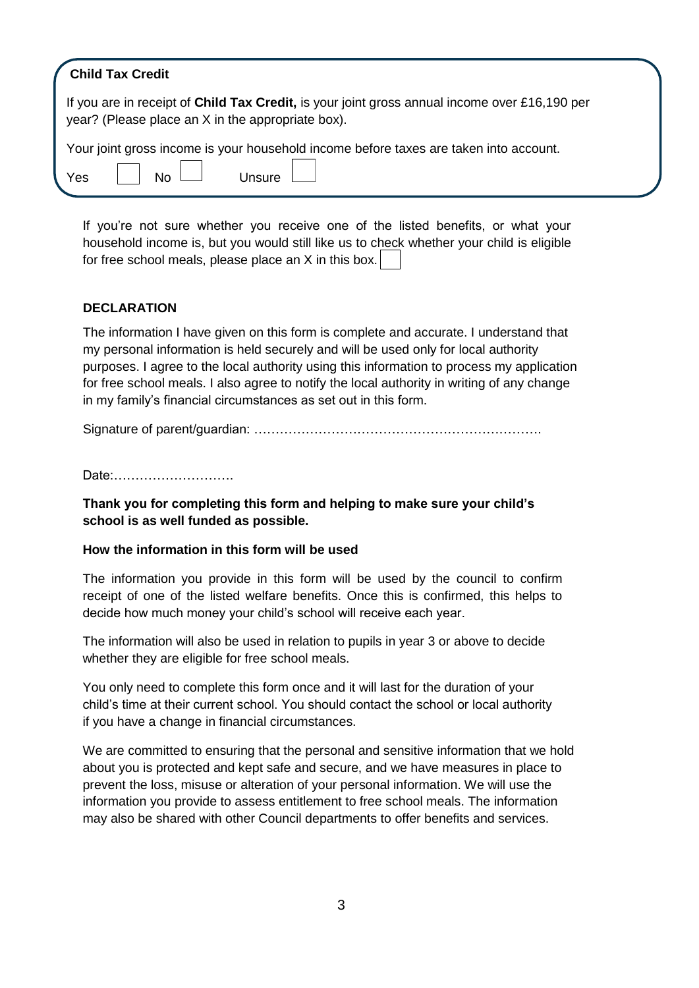| <b>Child Tax Credit</b>                                                                                                                                    |
|------------------------------------------------------------------------------------------------------------------------------------------------------------|
| If you are in receipt of <b>Child Tax Credit</b> , is your joint gross annual income over £16,190 per<br>year? (Please place an X in the appropriate box). |
| Your joint gross income is your household income before taxes are taken into account.                                                                      |
| <b>No</b><br>Yes<br>Unsure                                                                                                                                 |

If you're not sure whether you receive one of the listed benefits, or what your household income is, but you would still like us to check whether your child is eligible for free school meals, please place an X in this box.

## **DECLARATION**

The information I have given on this form is complete and accurate. I understand that my personal information is held securely and will be used only for local authority purposes. I agree to the local authority using this information to process my application for free school meals. I also agree to notify the local authority in writing of any change in my family's financial circumstances as set out in this form.

Signature of parent/guardian: ………………………………………………………….

#### Date:……………………….

**Thank you for completing this form and helping to make sure your child's school is as well funded as possible.**

#### **How the information in this form will be used**

The information you provide in this form will be used by the council to confirm receipt of one of the listed welfare benefits. Once this is confirmed, this helps to decide how much money your child's school will receive each year.

The information will also be used in relation to pupils in year 3 or above to decide whether they are eligible for free school meals.

You only need to complete this form once and it will last for the duration of your child's time at their current school. You should contact the school or local authority if you have a change in financial circumstances.

We are committed to ensuring that the personal and sensitive information that we hold about you is protected and kept safe and secure, and we have measures in place to prevent the loss, misuse or alteration of your personal information. We will use the information you provide to assess entitlement to free school meals. The information may also be shared with other Council departments to offer benefits and services.